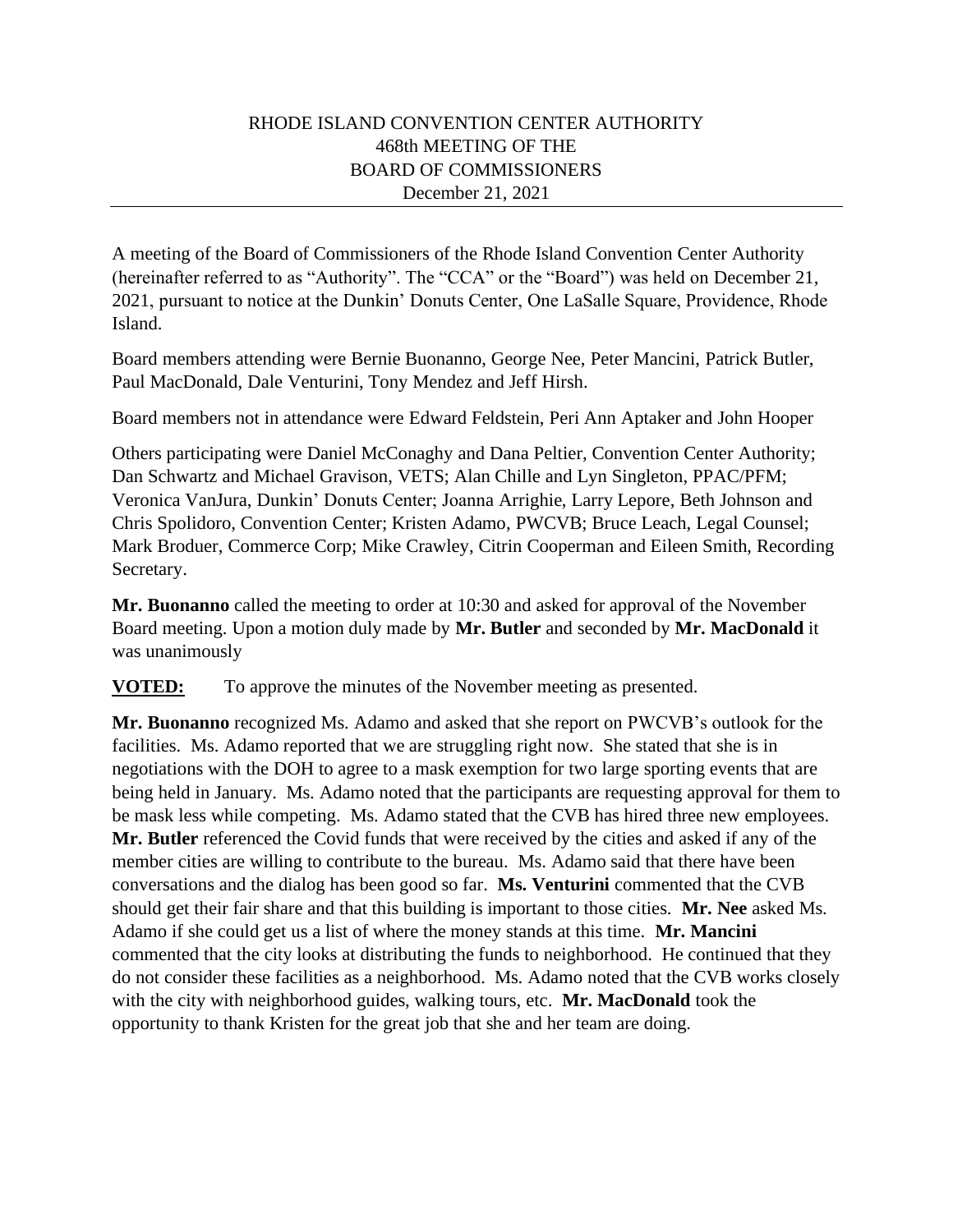## RHODE ISLAND CONVENTION CENTER AUTHORITY 468th MEETING OF THE BOARD OF COMMISSIONERS December 21, 2021

A meeting of the Board of Commissioners of the Rhode Island Convention Center Authority (hereinafter referred to as "Authority". The "CCA" or the "Board") was held on December 21, 2021, pursuant to notice at the Dunkin' Donuts Center, One LaSalle Square, Providence, Rhode Island.

Board members attending were Bernie Buonanno, George Nee, Peter Mancini, Patrick Butler, Paul MacDonald, Dale Venturini, Tony Mendez and Jeff Hirsh.

Board members not in attendance were Edward Feldstein, Peri Ann Aptaker and John Hooper

Others participating were Daniel McConaghy and Dana Peltier, Convention Center Authority; Dan Schwartz and Michael Gravison, VETS; Alan Chille and Lyn Singleton, PPAC/PFM; Veronica VanJura, Dunkin' Donuts Center; Joanna Arrighie, Larry Lepore, Beth Johnson and Chris Spolidoro, Convention Center; Kristen Adamo, PWCVB; Bruce Leach, Legal Counsel; Mark Broduer, Commerce Corp; Mike Crawley, Citrin Cooperman and Eileen Smith, Recording Secretary.

**Mr. Buonanno** called the meeting to order at 10:30 and asked for approval of the November Board meeting. Upon a motion duly made by **Mr. Butler** and seconded by **Mr. MacDonald** it was unanimously

**VOTED:** To approve the minutes of the November meeting as presented.

**Mr. Buonanno** recognized Ms. Adamo and asked that she report on PWCVB's outlook for the facilities. Ms. Adamo reported that we are struggling right now. She stated that she is in negotiations with the DOH to agree to a mask exemption for two large sporting events that are being held in January. Ms. Adamo noted that the participants are requesting approval for them to be mask less while competing. Ms. Adamo stated that the CVB has hired three new employees. **Mr. Butler** referenced the Covid funds that were received by the cities and asked if any of the member cities are willing to contribute to the bureau. Ms. Adamo said that there have been conversations and the dialog has been good so far. **Ms. Venturini** commented that the CVB should get their fair share and that this building is important to those cities. **Mr. Nee** asked Ms. Adamo if she could get us a list of where the money stands at this time. **Mr. Mancini**  commented that the city looks at distributing the funds to neighborhood. He continued that they do not consider these facilities as a neighborhood. Ms. Adamo noted that the CVB works closely with the city with neighborhood guides, walking tours, etc. **Mr. MacDonald** took the opportunity to thank Kristen for the great job that she and her team are doing.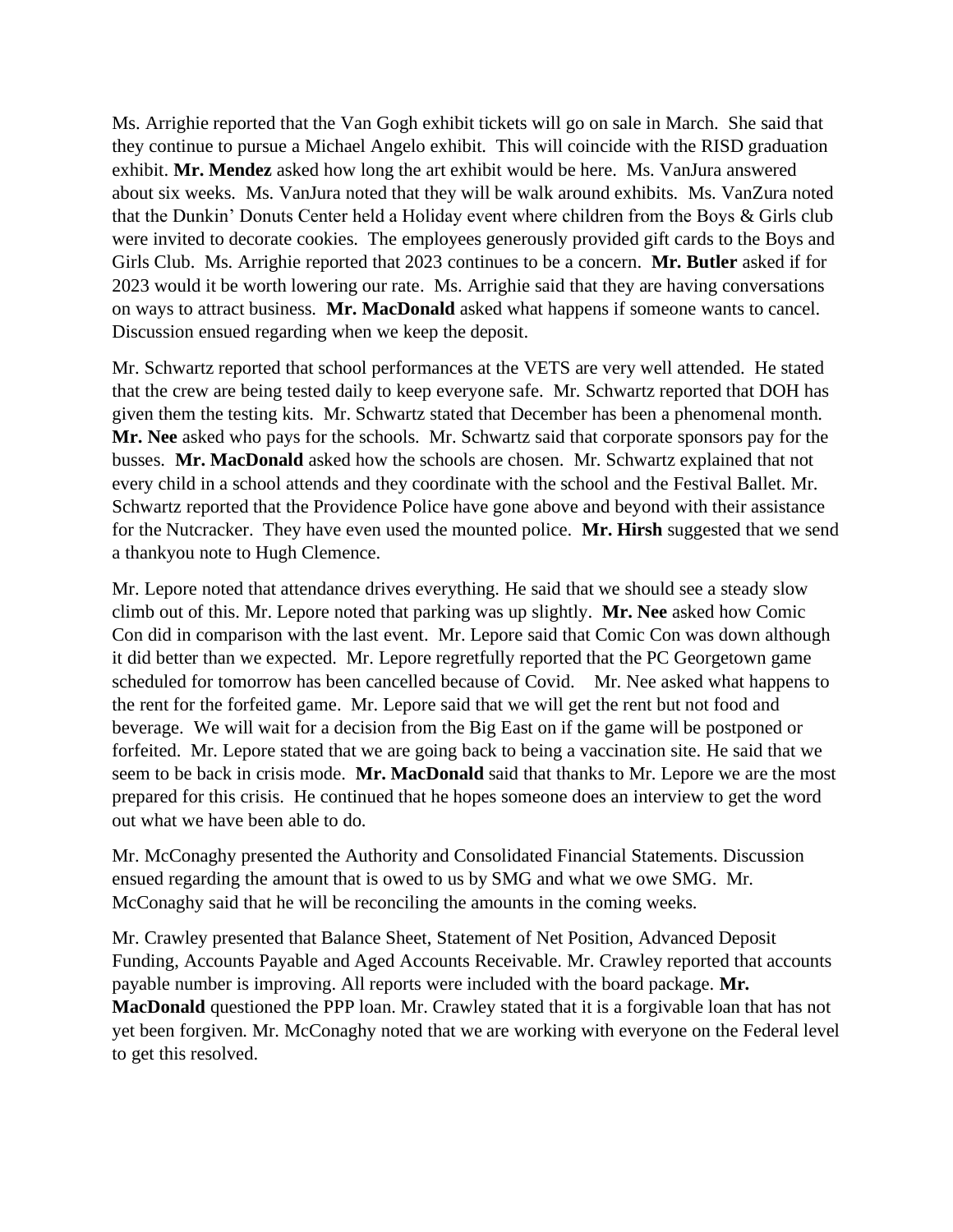Ms. Arrighie reported that the Van Gogh exhibit tickets will go on sale in March. She said that they continue to pursue a Michael Angelo exhibit. This will coincide with the RISD graduation exhibit. **Mr. Mendez** asked how long the art exhibit would be here. Ms. VanJura answered about six weeks. Ms. VanJura noted that they will be walk around exhibits. Ms. VanZura noted that the Dunkin' Donuts Center held a Holiday event where children from the Boys & Girls club were invited to decorate cookies. The employees generously provided gift cards to the Boys and Girls Club. Ms. Arrighie reported that 2023 continues to be a concern. **Mr. Butler** asked if for 2023 would it be worth lowering our rate. Ms. Arrighie said that they are having conversations on ways to attract business. **Mr. MacDonald** asked what happens if someone wants to cancel. Discussion ensued regarding when we keep the deposit.

Mr. Schwartz reported that school performances at the VETS are very well attended. He stated that the crew are being tested daily to keep everyone safe. Mr. Schwartz reported that DOH has given them the testing kits. Mr. Schwartz stated that December has been a phenomenal month. **Mr. Nee** asked who pays for the schools. Mr. Schwartz said that corporate sponsors pay for the busses. **Mr. MacDonald** asked how the schools are chosen. Mr. Schwartz explained that not every child in a school attends and they coordinate with the school and the Festival Ballet. Mr. Schwartz reported that the Providence Police have gone above and beyond with their assistance for the Nutcracker. They have even used the mounted police. **Mr. Hirsh** suggested that we send a thankyou note to Hugh Clemence.

Mr. Lepore noted that attendance drives everything. He said that we should see a steady slow climb out of this. Mr. Lepore noted that parking was up slightly. **Mr. Nee** asked how Comic Con did in comparison with the last event. Mr. Lepore said that Comic Con was down although it did better than we expected. Mr. Lepore regretfully reported that the PC Georgetown game scheduled for tomorrow has been cancelled because of Covid. Mr. Nee asked what happens to the rent for the forfeited game. Mr. Lepore said that we will get the rent but not food and beverage. We will wait for a decision from the Big East on if the game will be postponed or forfeited. Mr. Lepore stated that we are going back to being a vaccination site. He said that we seem to be back in crisis mode. **Mr. MacDonald** said that thanks to Mr. Lepore we are the most prepared for this crisis. He continued that he hopes someone does an interview to get the word out what we have been able to do.

Mr. McConaghy presented the Authority and Consolidated Financial Statements. Discussion ensued regarding the amount that is owed to us by SMG and what we owe SMG. Mr. McConaghy said that he will be reconciling the amounts in the coming weeks.

Mr. Crawley presented that Balance Sheet, Statement of Net Position, Advanced Deposit Funding, Accounts Payable and Aged Accounts Receivable. Mr. Crawley reported that accounts payable number is improving. All reports were included with the board package. **Mr. MacDonald** questioned the PPP loan. Mr. Crawley stated that it is a forgivable loan that has not yet been forgiven. Mr. McConaghy noted that we are working with everyone on the Federal level to get this resolved.